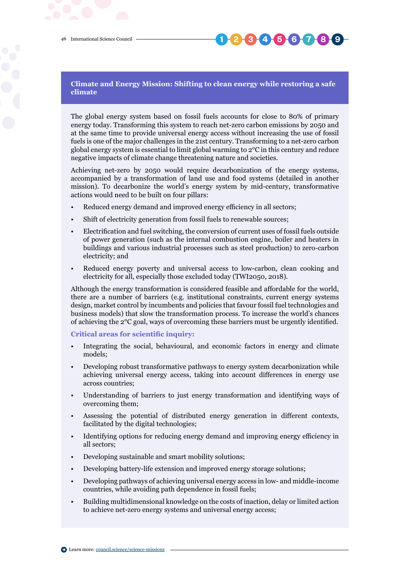## **1 2 3 4 5 6 7 8 9**

## **Climate and Energy Mission: Shifting to clean energy while restoring a safe climate**

The global energy system based on fossil fuels accounts for close to 80% of primary energy today. Transforming this system to reach net-zero carbon emissions by 2050 and at the same time to provide universal energy access without increasing the use of fossil fuels is one of the major challenges in the 21st century. Transforming to a net-zero carbon global energy system is essential to limit global warming to 2°C in this century and reduce negative impacts of climate change threatening nature and societies.

Achieving net-zero by 2050 would require decarbonization of the energy systems, accompanied by a transformation of land use and food systems (detailed in another mission). To decarbonize the world's energy system by mid-century, transformative actions would need to be built on four pillars:

- Reduced energy demand and improved energy efficiency in all sectors;
- Shift of electricity generation from fossil fuels to renewable sources;
- Electrification and fuel switching, the conversion of current uses of fossil fuels outside of power generation (such as the internal combustion engine, boiler and heaters in buildings and various industrial processes such as steel production) to zero-carbon electricity; and
- Reduced energy poverty and universal access to low-carbon, clean cooking and electricity for all, especially those excluded today (TWI2050, 2018).

Although the energy transformation is considered feasible and affordable for the world, there are a number of barriers (e.g. institutional constraints, current energy systems design, market control by incumbents and policies that favour fossil fuel technologies and business models) that slow the transformation process. To increase the world's chances of achieving the 2°C goal, ways of overcoming these barriers must be urgently identified.

**Critical areas for scientific inquiry:**

- Integrating the social, behavioural, and economic factors in energy and climate models;
- Developing robust transformative pathways to energy system decarbonization while achieving universal energy access, taking into account differences in energy use across countries;
- Understanding of barriers to just energy transformation and identifying ways of overcoming them;
- Assessing the potential of distributed energy generation in different contexts, facilitated by the digital technologies;
- Identifying options for reducing energy demand and improving energy efficiency in all sectors;
- Developing sustainable and smart mobility solutions;
- Developing battery-life extension and improved energy storage solutions;
- Developing pathways of achieving universal energy access in low- and middle-income countries, while avoiding path dependence in fossil fuels;
- Building multidimensional knowledge on the costs of inaction, delay or limited action to achieve net-zero energy systems and universal energy access;